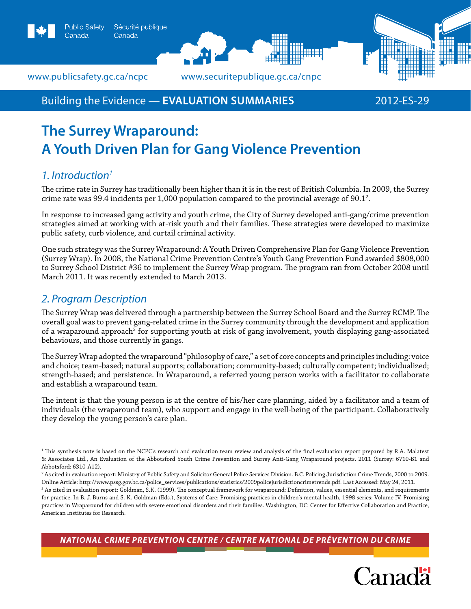



www.publicsafety.gc.ca/ncpc *www.securitepublique.gc.ca/cnpc* 

Canada

## Building the Evidence — **Evaluation summaries** 2012-ES-29

# **The Surrey Wraparound: A Youth Driven Plan for Gang Violence Prevention**

## *1. Introduction1*

The crime rate in Surrey has traditionally been higher than it is in the rest of British Columbia. In 2009, the Surrey crime rate was 99.4 incidents per 1,000 population compared to the provincial average of 90.1 $^{\rm 2}$ .

In response to increased gang activity and youth crime, the City of Surrey developed anti-gang/crime prevention strategies aimed at working with at-risk youth and their families. These strategies were developed to maximize public safety, curb violence, and curtail criminal activity.

One such strategy was the Surrey Wraparound: A Youth Driven Comprehensive Plan for Gang Violence Prevention (Surrey Wrap). In 2008, the National Crime Prevention Centre's Youth Gang Prevention Fund awarded \$808,000 to Surrey School District #36 to implement the Surrey Wrap program. The program ran from October 2008 until March 2011. It was recently extended to March 2013.

## *2. Program Description*

The Surrey Wrap was delivered through a partnership between the Surrey School Board and the Surrey RCMP. The overall goal was to prevent gang-related crime in the Surrey community through the development and application of a wraparound approach<sup>3</sup> for supporting youth at risk of gang involvement, youth displaying gang-associated behaviours, and those currently in gangs.

The Surrey Wrap adopted the wraparound "philosophy of care," a set of core concepts and principles including: voice and choice; team-based; natural supports; collaboration; community-based; culturally competent; individualized; strength-based; and persistence. In Wraparound, a referred young person works with a facilitator to collaborate and establish a wraparound team.

The intent is that the young person is at the centre of his/her care planning, aided by a facilitator and a team of individuals (the wraparound team), who support and engage in the well-being of the participant. Collaboratively they develop the young person's care plan.

*National Crime Prevention Centre / centre national de prévention du crime*



<sup>1</sup> This synthesis note is based on the NCPC's research and evaluation team review and analysis of the final evaluation report prepared by R.A. Malatest & Associates Ltd., An Evaluation of the Abbotsford Youth Crime Prevention and Surrey Anti-Gang Wraparound projects. 2011 (Surrey: 6710-B1 and Abbotsford: 6310-A12).

<sup>2</sup> As cited in evaluation report: Ministry of Public Safety and Solicitor General Police Services Division. B.C. Policing Jurisdiction Crime Trends, 2000 to 2009. Online Article: http://www.pssg.gov.bc.ca/police\_services/publications/statistics/2009policejurisdictioncrimetrends.pdf. Last Accessed: May 24, 2011.

<sup>3</sup> As cited in evaluation report: Goldman, S.K. (1999). The conceptual framework for wraparound: Definition, values, essential elements, and requirements for practice. In B. J. Burns and S. K. Goldman (Eds.), Systems of Care: Promising practices in children's mental health, 1998 series: Volume IV. Promising practices in Wraparound for children with severe emotional disorders and their families. Washington, DC: Center for Effective Collaboration and Practice, American Institutes for Research.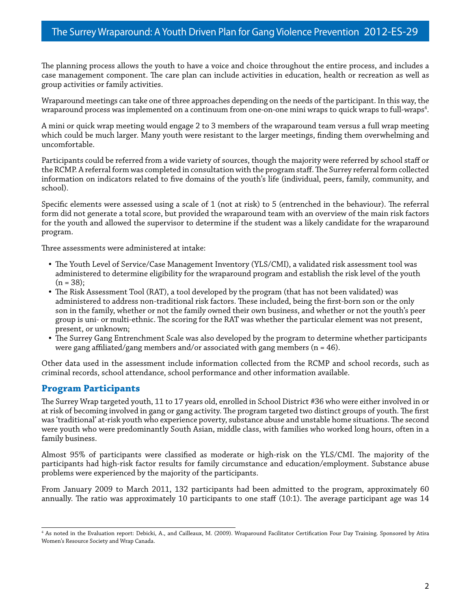The planning process allows the youth to have a voice and choice throughout the entire process, and includes a case management component. The care plan can include activities in education, health or recreation as well as group activities or family activities.

Wraparound meetings can take one of three approaches depending on the needs of the participant. In this way, the wraparound process was implemented on a continuum from one-on-one mini wraps to quick wraps to full-wraps $^{\rm 4}$ .

A mini or quick wrap meeting would engage 2 to 3 members of the wraparound team versus a full wrap meeting which could be much larger. Many youth were resistant to the larger meetings, finding them overwhelming and uncomfortable.

Participants could be referred from a wide variety of sources, though the majority were referred by school staff or the RCMP. A referral form was completed in consultation with the program staff. The Surrey referral form collected information on indicators related to five domains of the youth's life (individual, peers, family, community, and school).

Specific elements were assessed using a scale of 1 (not at risk) to 5 (entrenched in the behaviour). The referral form did not generate a total score, but provided the wraparound team with an overview of the main risk factors for the youth and allowed the supervisor to determine if the student was a likely candidate for the wraparound program.

Three assessments were administered at intake:

- The Youth Level of Service/Case Management Inventory (YLS/CMI), a validated risk assessment tool was administered to determine eligibility for the wraparound program and establish the risk level of the youth  $(n = 38);$
- The Risk Assessment Tool (RAT), a tool developed by the program (that has not been validated) was administered to address non-traditional risk factors. These included, being the first-born son or the only son in the family, whether or not the family owned their own business, and whether or not the youth's peer group is uni- or multi-ethnic. The scoring for the RAT was whether the particular element was not present, present, or unknown;
- The Surrey Gang Entrenchment Scale was also developed by the program to determine whether participants were gang affiliated/gang members and/or associated with gang members ( $n = 46$ ).

Other data used in the assessment include information collected from the RCMP and school records, such as criminal records, school attendance, school performance and other information available.

## **Program Participants**

The Surrey Wrap targeted youth, 11 to 17 years old, enrolled in School District #36 who were either involved in or at risk of becoming involved in gang or gang activity. The program targeted two distinct groups of youth. The first was 'traditional' at-risk youth who experience poverty, substance abuse and unstable home situations. The second were youth who were predominantly South Asian, middle class, with families who worked long hours, often in a family business.

Almost 95% of participants were classified as moderate or high-risk on the YLS/CMI. The majority of the participants had high-risk factor results for family circumstance and education/employment. Substance abuse problems were experienced by the majority of the participants.

From January 2009 to March 2011, 132 participants had been admitted to the program, approximately 60 annually. The ratio was approximately 10 participants to one staff (10:1). The average participant age was 14

<sup>4</sup> As noted in the Evaluation report: Debicki, A., and Cailleaux, M. (2009). Wraparound Facilitator Certification Four Day Training. Sponsored by Atira Women's Resource Society and Wrap Canada.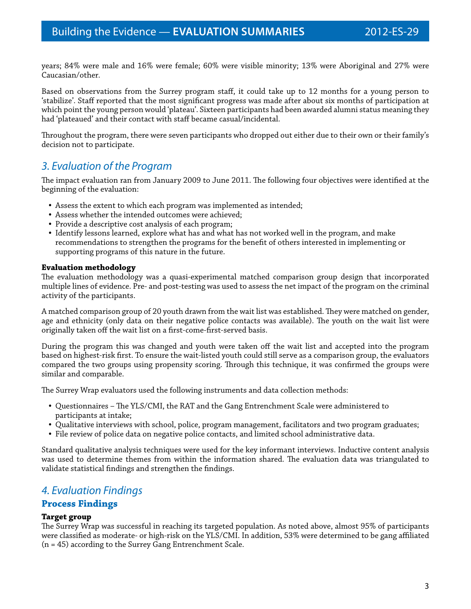years; 84% were male and 16% were female; 60% were visible minority; 13% were Aboriginal and 27% were Caucasian/other.

Based on observations from the Surrey program staff, it could take up to 12 months for a young person to 'stabilize'. Staff reported that the most significant progress was made after about six months of participation at which point the young person would 'plateau'. Sixteen participants had been awarded alumni status meaning they had 'plateaued' and their contact with staff became casual/incidental.

Throughout the program, there were seven participants who dropped out either due to their own or their family's decision not to participate.

## *3. Evaluation of the Program*

The impact evaluation ran from January 2009 to June 2011. The following four objectives were identified at the beginning of the evaluation:

- Assess the extent to which each program was implemented as intended;
- Assess whether the intended outcomes were achieved;
- Provide a descriptive cost analysis of each program;
- Identify lessons learned, explore what has and what has not worked well in the program, and make recommendations to strengthen the programs for the benefit of others interested in implementing or supporting programs of this nature in the future.

### **Evaluation methodology**

The evaluation methodology was a quasi-experimental matched comparison group design that incorporated multiple lines of evidence. Pre- and post-testing was used to assess the net impact of the program on the criminal activity of the participants.

A matched comparison group of 20 youth drawn from the wait list was established. They were matched on gender, age and ethnicity (only data on their negative police contacts was available). The youth on the wait list were originally taken off the wait list on a first-come-first-served basis.

During the program this was changed and youth were taken off the wait list and accepted into the program based on highest-risk first. To ensure the wait-listed youth could still serve as a comparison group, the evaluators compared the two groups using propensity scoring. Through this technique, it was confirmed the groups were similar and comparable.

The Surrey Wrap evaluators used the following instruments and data collection methods:

- Questionnaires The YLS/CMI, the RAT and the Gang Entrenchment Scale were administered to participants at intake;
- Qualitative interviews with school, police, program management, facilitators and two program graduates;
- File review of police data on negative police contacts, and limited school administrative data.

Standard qualitative analysis techniques were used for the key informant interviews. Inductive content analysis was used to determine themes from within the information shared. The evaluation data was triangulated to validate statistical findings and strengthen the findings.

## *4. Evaluation Findings*

## **Process Findings**

### **Target group**

The Surrey Wrap was successful in reaching its targeted population. As noted above, almost 95% of participants were classified as moderate- or high-risk on the YLS/CMI. In addition, 53% were determined to be gang affiliated (n = 45) according to the Surrey Gang Entrenchment Scale.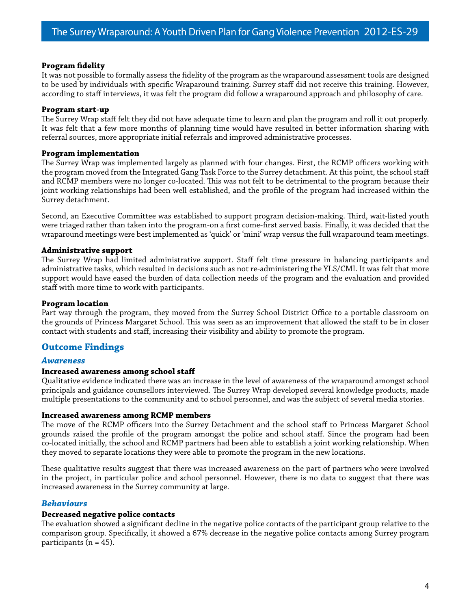### **Program fidelity**

It was not possible to formally assess the fidelity of the program as the wraparound assessment tools are designed to be used by individuals with specific Wraparound training. Surrey staff did not receive this training. However, according to staff interviews, it was felt the program did follow a wraparound approach and philosophy of care.

### **Program start-up**

The Surrey Wrap staff felt they did not have adequate time to learn and plan the program and roll it out properly. It was felt that a few more months of planning time would have resulted in better information sharing with referral sources, more appropriate initial referrals and improved administrative processes.

## **Program implementation**

The Surrey Wrap was implemented largely as planned with four changes. First, the RCMP officers working with the program moved from the Integrated Gang Task Force to the Surrey detachment. At this point, the school staff and RCMP members were no longer co-located. This was not felt to be detrimental to the program because their joint working relationships had been well established, and the profile of the program had increased within the Surrey detachment.

Second, an Executive Committee was established to support program decision-making. Third, wait-listed youth were triaged rather than taken into the program-on a first come-first served basis. Finally, it was decided that the wraparound meetings were best implemented as 'quick' or 'mini' wrap versus the full wraparound team meetings.

## **Administrative support**

The Surrey Wrap had limited administrative support. Staff felt time pressure in balancing participants and administrative tasks, which resulted in decisions such as not re-administering the YLS/CMI. It was felt that more support would have eased the burden of data collection needs of the program and the evaluation and provided staff with more time to work with participants.

### **Program location**

Part way through the program, they moved from the Surrey School District Office to a portable classroom on the grounds of Princess Margaret School. This was seen as an improvement that allowed the staff to be in closer contact with students and staff, increasing their visibility and ability to promote the program.

## **Outcome Findings**

### *Awareness*

### **Increased awareness among school staff**

Qualitative evidence indicated there was an increase in the level of awareness of the wraparound amongst school principals and guidance counsellors interviewed. The Surrey Wrap developed several knowledge products, made multiple presentations to the community and to school personnel, and was the subject of several media stories.

### **Increased awareness among RCMP members**

The move of the RCMP officers into the Surrey Detachment and the school staff to Princess Margaret School grounds raised the profile of the program amongst the police and school staff. Since the program had been co-located initially, the school and RCMP partners had been able to establish a joint working relationship. When they moved to separate locations they were able to promote the program in the new locations.

These qualitative results suggest that there was increased awareness on the part of partners who were involved in the project, in particular police and school personnel. However, there is no data to suggest that there was increased awareness in the Surrey community at large.

## *Behaviours*

### **Decreased negative police contacts**

The evaluation showed a significant decline in the negative police contacts of the participant group relative to the comparison group. Specifically, it showed a 67% decrease in the negative police contacts among Surrey program participants ( $n = 45$ ).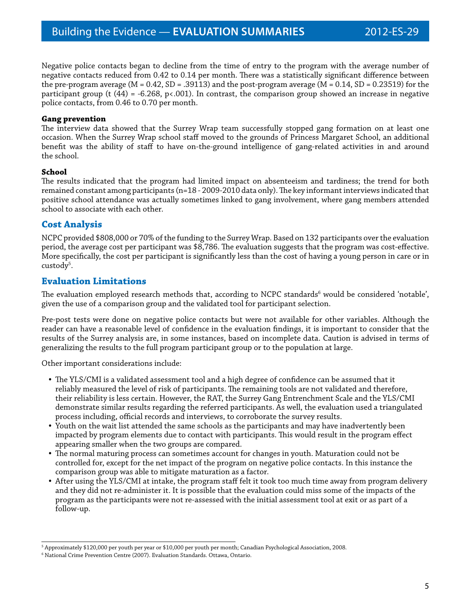Negative police contacts began to decline from the time of entry to the program with the average number of negative contacts reduced from 0.42 to 0.14 per month. There was a statistically significant difference between the pre-program average  $(M = 0.42, SD = .39113)$  and the post-program average  $(M = 0.14, SD = 0.23519)$  for the participant group (t (44) = -6.268, p<.001). In contrast, the comparison group showed an increase in negative police contacts, from 0.46 to 0.70 per month.

### **Gang prevention**

The interview data showed that the Surrey Wrap team successfully stopped gang formation on at least one occasion. When the Surrey Wrap school staff moved to the grounds of Princess Margaret School, an additional benefit was the ability of staff to have on-the-ground intelligence of gang-related activities in and around the school.

## **School**

The results indicated that the program had limited impact on absenteeism and tardiness; the trend for both remained constant among participants (n=18 - 2009-2010 data only). The key informant interviews indicated that positive school attendance was actually sometimes linked to gang involvement, where gang members attended school to associate with each other.

## **Cost Analysis**

NCPC provided \$808,000 or 70% of the funding to the Surrey Wrap. Based on 132 participants over the evaluation period, the average cost per participant was \$8,786. The evaluation suggests that the program was cost-effective. More specifically, the cost per participant is significantly less than the cost of having a young person in care or in custody<sup>5</sup>.

## **Evaluation Limitations**

The evaluation employed research methods that, according to NCPC standards $^6$  would be considered 'notable', given the use of a comparison group and the validated tool for participant selection.

Pre-post tests were done on negative police contacts but were not available for other variables. Although the reader can have a reasonable level of confidence in the evaluation findings, it is important to consider that the results of the Surrey analysis are, in some instances, based on incomplete data. Caution is advised in terms of generalizing the results to the full program participant group or to the population at large.

Other important considerations include:

- The YLS/CMI is a validated assessment tool and a high degree of confidence can be assumed that it reliably measured the level of risk of participants. The remaining tools are not validated and therefore, their reliability is less certain. However, the RAT, the Surrey Gang Entrenchment Scale and the YLS/CMI demonstrate similar results regarding the referred participants. As well, the evaluation used a triangulated process including, official records and interviews, to corroborate the survey results.
- Youth on the wait list attended the same schools as the participants and may have inadvertently been impacted by program elements due to contact with participants. This would result in the program effect appearing smaller when the two groups are compared.
- The normal maturing process can sometimes account for changes in youth. Maturation could not be controlled for, except for the net impact of the program on negative police contacts. In this instance the comparison group was able to mitigate maturation as a factor.
- After using the YLS/CMI at intake, the program staff felt it took too much time away from program delivery and they did not re-administer it. It is possible that the evaluation could miss some of the impacts of the program as the participants were not re-assessed with the initial assessment tool at exit or as part of a follow-up.

<sup>5</sup> Approximately \$120,000 per youth per year or \$10,000 per youth per month; Canadian Psychological Association, 2008.

<sup>6</sup> National Crime Prevention Centre (2007). Evaluation Standards. Ottawa, Ontario.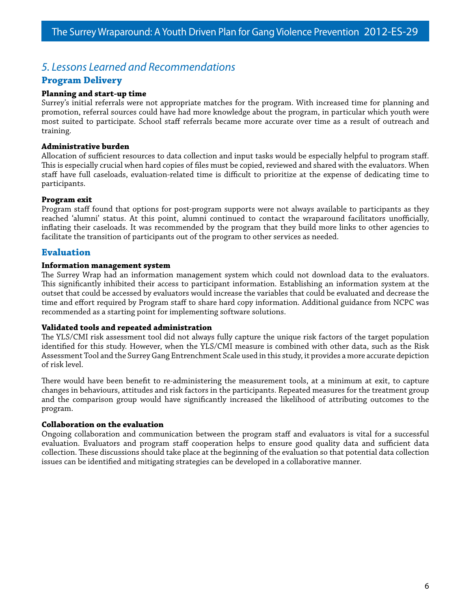## *5. Lessons Learned and Recommendations*

## **Program Delivery**

## **Planning and start-up time**

Surrey's initial referrals were not appropriate matches for the program. With increased time for planning and promotion, referral sources could have had more knowledge about the program, in particular which youth were most suited to participate. School staff referrals became more accurate over time as a result of outreach and training.

## **Administrative burden**

Allocation of sufficient resources to data collection and input tasks would be especially helpful to program staff. This is especially crucial when hard copies of files must be copied, reviewed and shared with the evaluators. When staff have full caseloads, evaluation-related time is difficult to prioritize at the expense of dedicating time to participants.

### **Program exit**

Program staff found that options for post-program supports were not always available to participants as they reached 'alumni' status. At this point, alumni continued to contact the wraparound facilitators unofficially, inflating their caseloads. It was recommended by the program that they build more links to other agencies to facilitate the transition of participants out of the program to other services as needed.

## **Evaluation**

## **Information management system**

The Surrey Wrap had an information management system which could not download data to the evaluators. This significantly inhibited their access to participant information. Establishing an information system at the outset that could be accessed by evaluators would increase the variables that could be evaluated and decrease the time and effort required by Program staff to share hard copy information. Additional guidance from NCPC was recommended as a starting point for implementing software solutions.

### **Validated tools and repeated administration**

The YLS/CMI risk assessment tool did not always fully capture the unique risk factors of the target population identified for this study. However, when the YLS/CMI measure is combined with other data, such as the Risk Assessment Tool and the Surrey Gang Entrenchment Scale used in this study, it provides a more accurate depiction of risk level.

There would have been benefit to re-administering the measurement tools, at a minimum at exit, to capture changes in behaviours, attitudes and risk factors in the participants. Repeated measures for the treatment group and the comparison group would have significantly increased the likelihood of attributing outcomes to the program.

### **Collaboration on the evaluation**

Ongoing collaboration and communication between the program staff and evaluators is vital for a successful evaluation. Evaluators and program staff cooperation helps to ensure good quality data and sufficient data collection. These discussions should take place at the beginning of the evaluation so that potential data collection issues can be identified and mitigating strategies can be developed in a collaborative manner.